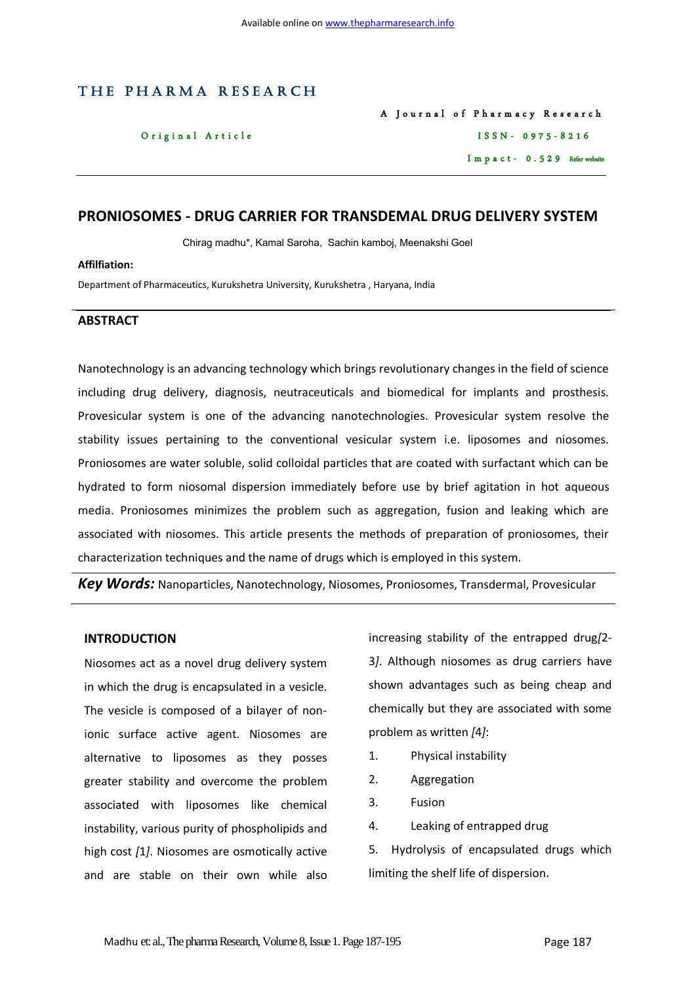# THE PHARMA RESEARCH

A Journal of Pharmacy Research Original Article ISSN-0975-8216 Impact - 0.529 Refer website

# **PRONIOSOMES - DRUG CARRIER FOR TRANSDEMAL DRUG DELIVERY SYSTEM**

Chirag madhu\*, Kamal Saroha, Sachin kamboj, Meenakshi Goel

#### **Affilfiation:**

Department of Pharmaceutics, Kurukshetra University, Kurukshetra , Haryana, India

#### **ABSTRACT**

Nanotechnology is an advancing technology which brings revolutionary changes in the field of science including drug delivery, diagnosis, neutraceuticals and biomedical for implants and prosthesis. Provesicular system is one of the advancing nanotechnologies. Provesicular system resolve the stability issues pertaining to the conventional vesicular system i.e. liposomes and niosomes. Proniosomes are water soluble, solid colloidal particles that are coated with surfactant which can be hydrated to form niosomal dispersion immediately before use by brief agitation in hot aqueous media. Proniosomes minimizes the problem such as aggregation, fusion and leaking which are associated with niosomes. This article presents the methods of preparation of proniosomes, their characterization techniques and the name of drugs which is employed in this system.

*Key Words:* Nanoparticles, Nanotechnology, Niosomes, Proniosomes, Transdermal, Provesicular

### **INTRODUCTION**

Niosomes act as a novel drug delivery system in which the drug is encapsulated in a vesicle. The vesicle is composed of a bilayer of nonionic surface active agent. Niosomes are alternative to liposomes as they posses greater stability and overcome the problem associated with liposomes like chemical instability, various purity of phospholipids and high cost *[*1*]*. Niosomes are osmotically active and are stable on their own while also

increasing stability of the entrapped drug*[*2- 3*]*. Although niosomes as drug carriers have shown advantages such as being cheap and chemically but they are associated with some problem as written *[*4*]*:

- 1. Physical instability
- 2. Aggregation
- 3. Fusion
- 4. Leaking of entrapped drug

5. Hydrolysis of encapsulated drugs which limiting the shelf life of dispersion.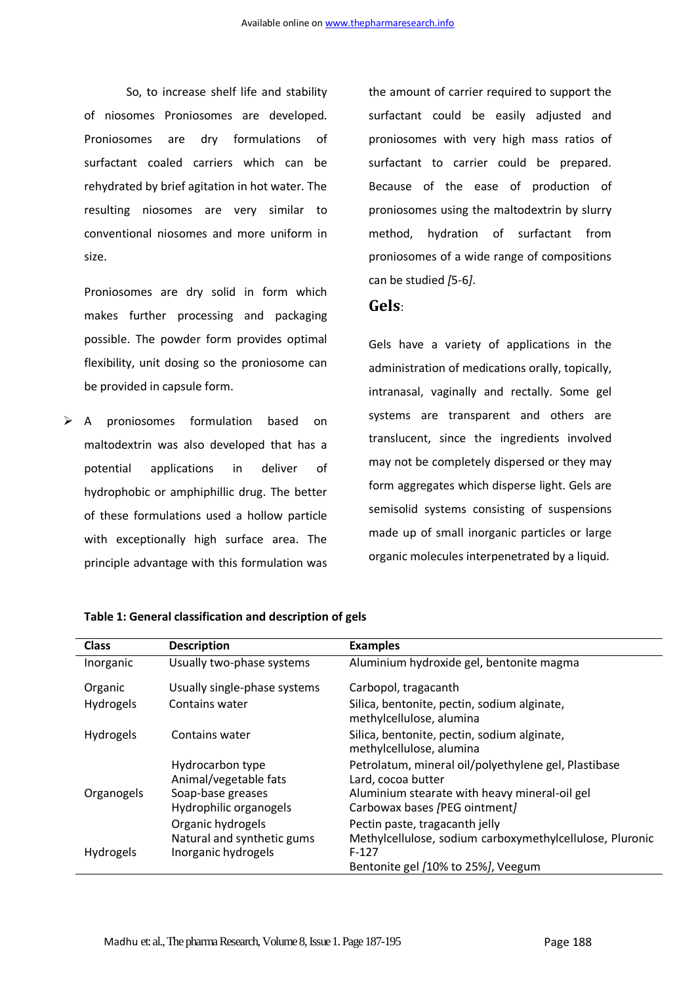So, to increase shelf life and stability of niosomes Proniosomes are developed. Proniosomes are dry formulations of surfactant coaled carriers which can be rehydrated by brief agitation in hot water. The resulting niosomes are very similar to conventional niosomes and more uniform in size.

Proniosomes are dry solid in form which makes further processing and packaging possible. The powder form provides optimal flexibility, unit dosing so the proniosome can be provided in capsule form.

 A proniosomes formulation based on maltodextrin was also developed that has a potential applications in deliver of hydrophobic or amphiphillic drug. The better of these formulations used a hollow particle with exceptionally high surface area. The principle advantage with this formulation was

the amount of carrier required to support the surfactant could be easily adjusted and proniosomes with very high mass ratios of surfactant to carrier could be prepared. Because of the ease of production of proniosomes using the maltodextrin by slurry method, hydration of surfactant from proniosomes of a wide range of compositions can be studied *[*5-6*]*.

# **Gels**:

Gels have a variety of applications in the administration of medications orally, topically, intranasal, vaginally and rectally. Some gel systems are transparent and others are translucent, since the ingredients involved may not be completely dispersed or they may form aggregates which disperse light. Gels are semisolid systems consisting of suspensions made up of small inorganic particles or large organic molecules interpenetrated by a liquid.

| <b>Class</b>     | <b>Description</b>                                                                       | <b>Examples</b>                                                                                                                                              |
|------------------|------------------------------------------------------------------------------------------|--------------------------------------------------------------------------------------------------------------------------------------------------------------|
| Inorganic        | Usually two-phase systems                                                                | Aluminium hydroxide gel, bentonite magma                                                                                                                     |
| Organic          | Usually single-phase systems                                                             | Carbopol, tragacanth                                                                                                                                         |
| <b>Hydrogels</b> | Contains water                                                                           | Silica, bentonite, pectin, sodium alginate,<br>methylcellulose, alumina                                                                                      |
| <b>Hydrogels</b> | Contains water                                                                           | Silica, bentonite, pectin, sodium alginate,<br>methylcellulose, alumina                                                                                      |
| Organogels       | Hydrocarbon type<br>Animal/vegetable fats<br>Soap-base greases<br>Hydrophilic organogels | Petrolatum, mineral oil/polyethylene gel, Plastibase<br>Lard, cocoa butter<br>Aluminium stearate with heavy mineral-oil gel<br>Carbowax bases /PEG ointment/ |
| <b>Hydrogels</b> | Organic hydrogels<br>Natural and synthetic gums<br>Inorganic hydrogels                   | Pectin paste, tragacanth jelly<br>Methylcellulose, sodium carboxymethylcellulose, Pluronic<br>$F-127$<br>Bentonite gel /10% to 25%/, Veegum                  |

### **Table 1: General classification and description of gels**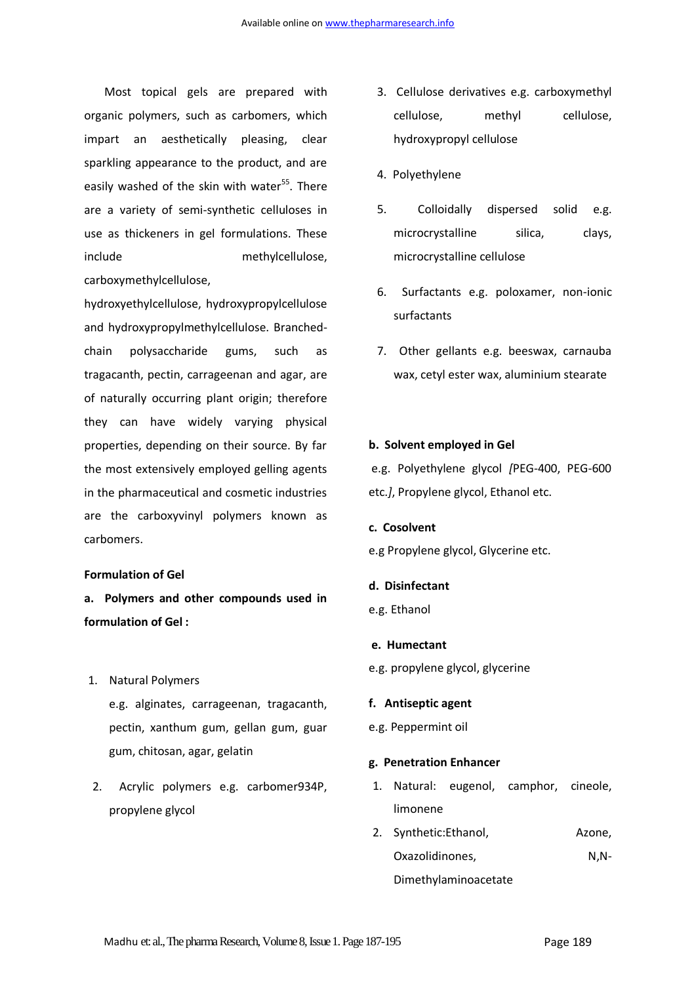Most topical gels are prepared with organic polymers, such as carbomers, which impart an aesthetically pleasing, clear sparkling appearance to the product, and are easily washed of the skin with water<sup>55</sup>. There are a variety of semi-synthetic celluloses in use as thickeners in gel formulations. These include methylcellulose, carboxymethylcellulose,

hydroxyethylcellulose, hydroxypropylcellulose and hydroxypropylmethylcellulose. Branchedchain polysaccharide gums, such as tragacanth, pectin, carrageenan and agar, are of naturally occurring plant origin; therefore they can have widely varying physical properties, depending on their source. By far the most extensively employed gelling agents in the pharmaceutical and cosmetic industries are the carboxyvinyl polymers known as carbomers.

#### **Formulation of Gel**

- **a. Polymers and other compounds used in formulation of Gel :**
- 1. Natural Polymers e.g. alginates, carrageenan, tragacanth, pectin, xanthum gum, gellan gum, guar gum, chitosan, agar, gelatin
- 2. Acrylic polymers e.g. carbomer934P, propylene glycol
- 3. Cellulose derivatives e.g. carboxymethyl cellulose, methyl cellulose, hydroxypropyl cellulose
- 4. Polyethylene
- 5. Colloidally dispersed solid e.g. microcrystalline silica, clays, microcrystalline cellulose
- 6. Surfactants e.g. poloxamer, non-ionic surfactants
- 7. Other gellants e.g. beeswax, carnauba wax, cetyl ester wax, aluminium stearate

#### **b. Solvent employed in Gel**

e.g. Polyethylene glycol *[*PEG-400, PEG-600 etc.*]*, Propylene glycol, Ethanol etc.

**c. Cosolvent**

e.g Propylene glycol, Glycerine etc.

- **d. Disinfectant**
- e.g. Ethanol
- **e. Humectant**
- e.g. propylene glycol, glycerine

#### **f. Antiseptic agent**

e.g. Peppermint oil

#### **g. Penetration Enhancer**

- 1. Natural: eugenol, camphor, cineole, limonene
- 2. Synthetic:Ethanol, Azone, Oxazolidinones, N,N-

Dimethylaminoacetate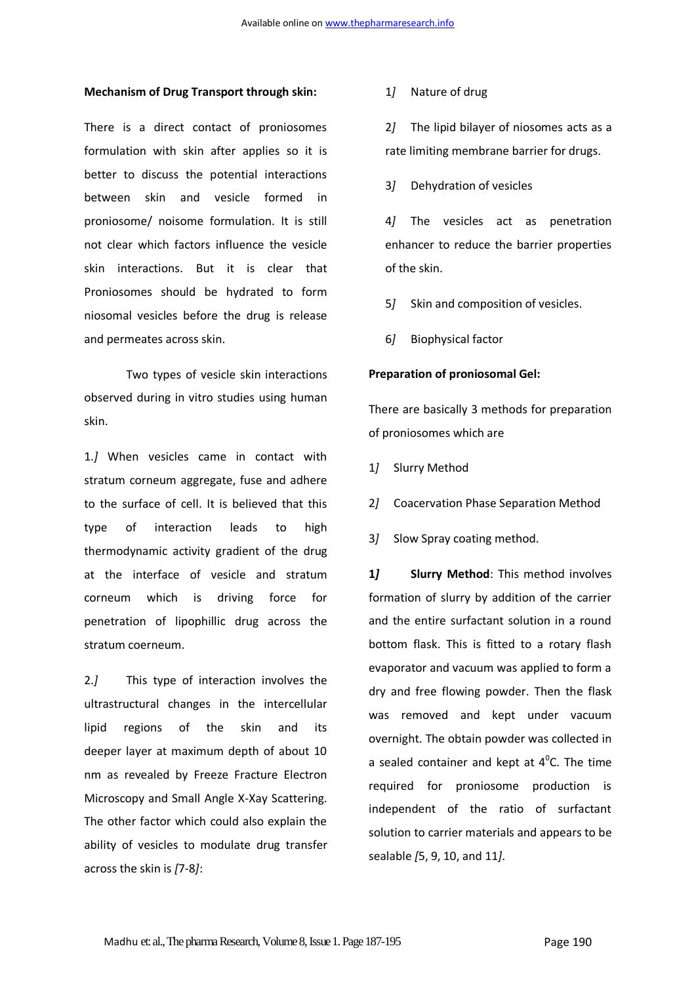#### **Mechanism of Drug Transport through skin:**

There is a direct contact of proniosomes formulation with skin after applies so it is better to discuss the potential interactions between skin and vesicle formed in proniosome/ noisome formulation. It is still not clear which factors influence the vesicle skin interactions. But it is clear that Proniosomes should be hydrated to form niosomal vesicles before the drug is release and permeates across skin.

Two types of vesicle skin interactions observed during in vitro studies using human skin.

1.*]* When vesicles came in contact with stratum corneum aggregate, fuse and adhere to the surface of cell. It is believed that this type of interaction leads to high thermodynamic activity gradient of the drug at the interface of vesicle and stratum corneum which is driving force for penetration of lipophillic drug across the stratum coerneum.

2.*]* This type of interaction involves the ultrastructural changes in the intercellular lipid regions of the skin and its deeper layer at maximum depth of about 10 nm as revealed by Freeze Fracture Electron Microscopy and Small Angle X-Xay Scattering. The other factor which could also explain the ability of vesicles to modulate drug transfer across the skin is *[*7-8*]*:

# 1*]* Nature of drug

2*]* The lipid bilayer of niosomes acts as a rate limiting membrane barrier for drugs.

3*]* Dehydration of vesicles

4*]* The vesicles act as penetration enhancer to reduce the barrier properties of the skin.

- 5*]* Skin and composition of vesicles.
- 6*]* Biophysical factor

#### **Preparation of proniosomal Gel:**

There are basically 3 methods for preparation of proniosomes which are

- 1*]* Slurry Method
- 2*]* Coacervation Phase Separation Method
- 3*]* Slow Spray coating method.

**1***]* **Slurry Method**: This method involves formation of slurry by addition of the carrier and the entire surfactant solution in a round bottom flask. This is fitted to a rotary flash evaporator and vacuum was applied to form a dry and free flowing powder. Then the flask was removed and kept under vacuum overnight. The obtain powder was collected in a sealed container and kept at  $4^{\circ}$ C. The time required for proniosome production is independent of the ratio of surfactant solution to carrier materials and appears to be sealable *[*5, 9, 10, and 11*]*.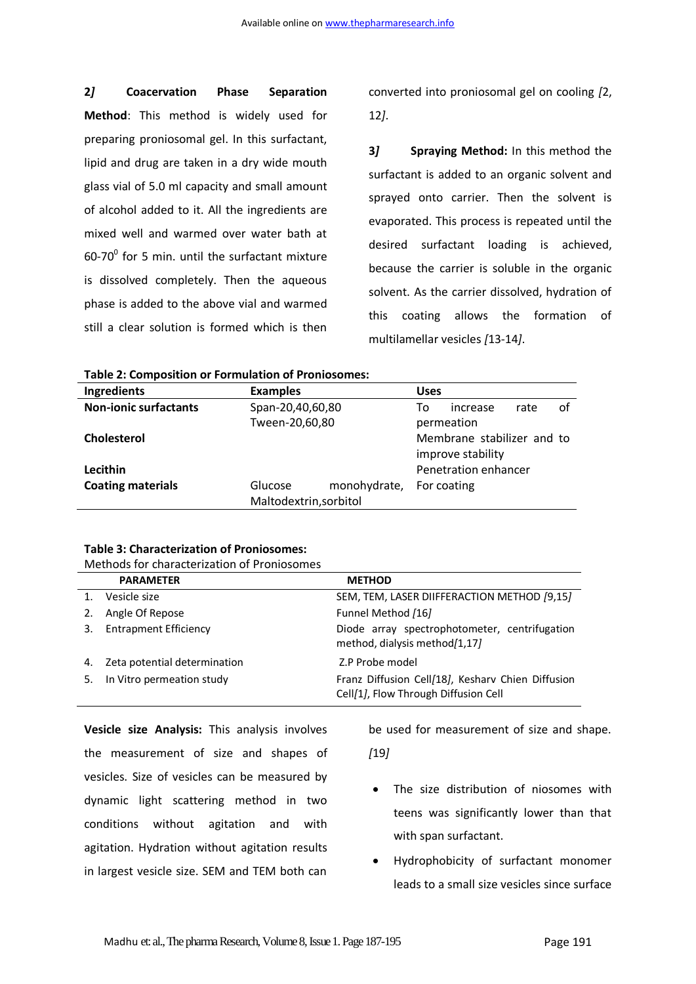**2***]* **Coacervation Phase Separation Method**: This method is widely used for preparing proniosomal gel. In this surfactant, lipid and drug are taken in a dry wide mouth glass vial of 5.0 ml capacity and small amount of alcohol added to it. All the ingredients are mixed well and warmed over water bath at  $60-70$ <sup>o</sup> for 5 min. until the surfactant mixture is dissolved completely. Then the aqueous phase is added to the above vial and warmed still a clear solution is formed which is then converted into proniosomal gel on cooling *[*2, 12*]*.

**3***]* **Spraying Method:** In this method the surfactant is added to an organic solvent and sprayed onto carrier. Then the solvent is evaporated. This process is repeated until the desired surfactant loading is achieved, because the carrier is soluble in the organic solvent. As the carrier dissolved, hydration of this coating allows the formation of multilamellar vesicles *[*13-14*]*.

| Ingredients                  | <b>Examples</b>  |                        | <b>Uses</b> |                            |      |    |
|------------------------------|------------------|------------------------|-------------|----------------------------|------|----|
| <b>Non-ionic surfactants</b> | Span-20,40,60,80 |                        | To          | increase                   | rate | of |
|                              |                  | Tween-20,60,80         |             | permeation                 |      |    |
| Cholesterol                  |                  |                        |             | Membrane stabilizer and to |      |    |
|                              |                  |                        |             | improve stability          |      |    |
| Lecithin                     |                  |                        |             | Penetration enhancer       |      |    |
| <b>Coating materials</b>     | Glucose          | monohydrate,           |             | For coating                |      |    |
|                              |                  | Maltodextrin, sorbitol |             |                            |      |    |

# **Table 3: Characterization of Proniosomes:**

|    | <b>PARAMETER</b>             | <b>METHOD</b>                                                                             |
|----|------------------------------|-------------------------------------------------------------------------------------------|
|    | Vesicle size                 | SEM, TEM, LASER DIIFFERACTION METHOD [9,15]                                               |
|    | Angle Of Repose              | Funnel Method [16]                                                                        |
|    | <b>Entrapment Efficiency</b> | Diode array spectrophotometer, centrifugation<br>method, dialysis method/1,17/            |
| 4. | Zeta potential determination | Z.P Probe model                                                                           |
|    | In Vitro permeation study    | Franz Diffusion Cell/18], Kesharv Chien Diffusion<br>Cell/1], Flow Through Diffusion Cell |

**Vesicle size Analysis:** This analysis involves the measurement of size and shapes of vesicles. Size of vesicles can be measured by dynamic light scattering method in two conditions without agitation and with agitation. Hydration without agitation results in largest vesicle size. SEM and TEM both can be used for measurement of size and shape.

*[*19*]*

- The size distribution of niosomes with teens was significantly lower than that with span surfactant.
- Hydrophobicity of surfactant monomer leads to a small size vesicles since surface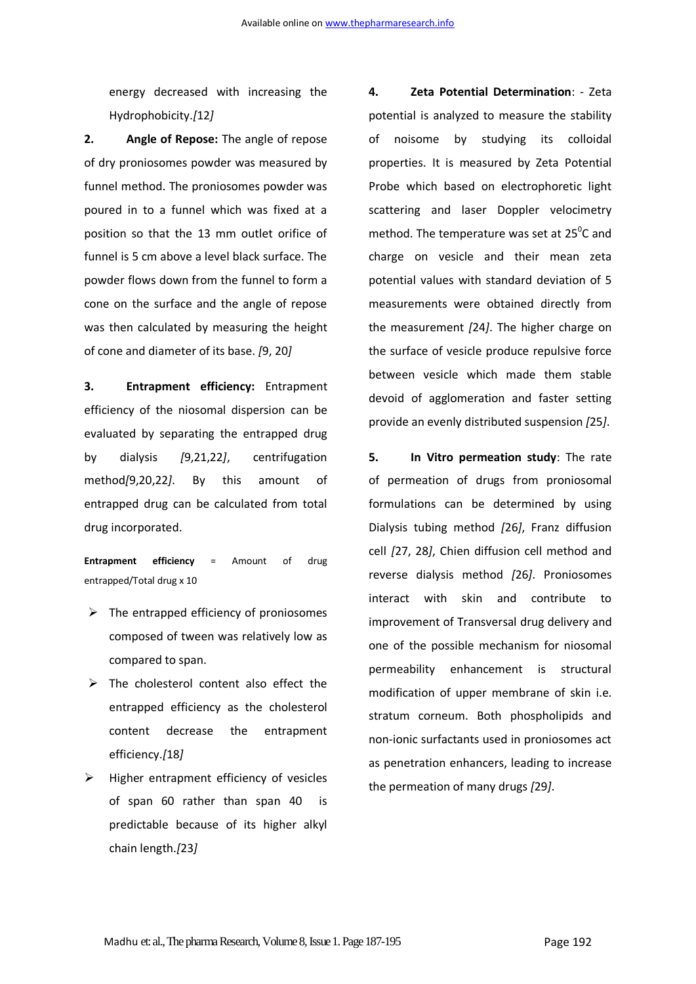energy decreased with increasing the Hydrophobicity.*[*12*]*

**2. Angle of Repose:** The angle of repose of dry proniosomes powder was measured by funnel method. The proniosomes powder was poured in to a funnel which was fixed at a position so that the 13 mm outlet orifice of funnel is 5 cm above a level black surface. The powder flows down from the funnel to form a cone on the surface and the angle of repose was then calculated by measuring the height of cone and diameter of its base. *[*9, 20*]*

**3. Entrapment efficiency:** Entrapment efficiency of the niosomal dispersion can be evaluated by separating the entrapped drug by dialysis *[*9,21,22*]*, centrifugation method*[*9,20,22*]*. By this amount of entrapped drug can be calculated from total drug incorporated.

**Entrapment efficiency** = Amount of drug entrapped/Total drug x 10

- $\triangleright$  The entrapped efficiency of proniosomes composed of tween was relatively low as compared to span.
- $\triangleright$  The cholesterol content also effect the entrapped efficiency as the cholesterol content decrease the entrapment efficiency.*[*18*]*
- $\triangleright$  Higher entrapment efficiency of vesicles of span 60 rather than span 40 is predictable because of its higher alkyl chain length.*[*23*]*

**4. Zeta Potential Determination**: - Zeta potential is analyzed to measure the stability of noisome by studying its colloidal properties. It is measured by Zeta Potential Probe which based on electrophoretic light scattering and laser Doppler velocimetry method. The temperature was set at  $25^{\circ}$ C and charge on vesicle and their mean zeta potential values with standard deviation of 5 measurements were obtained directly from the measurement *[*24*]*. The higher charge on the surface of vesicle produce repulsive force between vesicle which made them stable devoid of agglomeration and faster setting provide an evenly distributed suspension *[*25*]*.

**5. In Vitro permeation study**: The rate of permeation of drugs from proniosomal formulations can be determined by using Dialysis tubing method *[*26*]*, Franz diffusion cell *[*27, 28*]*, Chien diffusion cell method and reverse dialysis method *[*26*]*. Proniosomes interact with skin and contribute to improvement of Transversal drug delivery and one of the possible mechanism for niosomal permeability enhancement is structural modification of upper membrane of skin i.e. stratum corneum. Both phospholipids and non-ionic surfactants used in proniosomes act as penetration enhancers, leading to increase the permeation of many drugs *[*29*]*.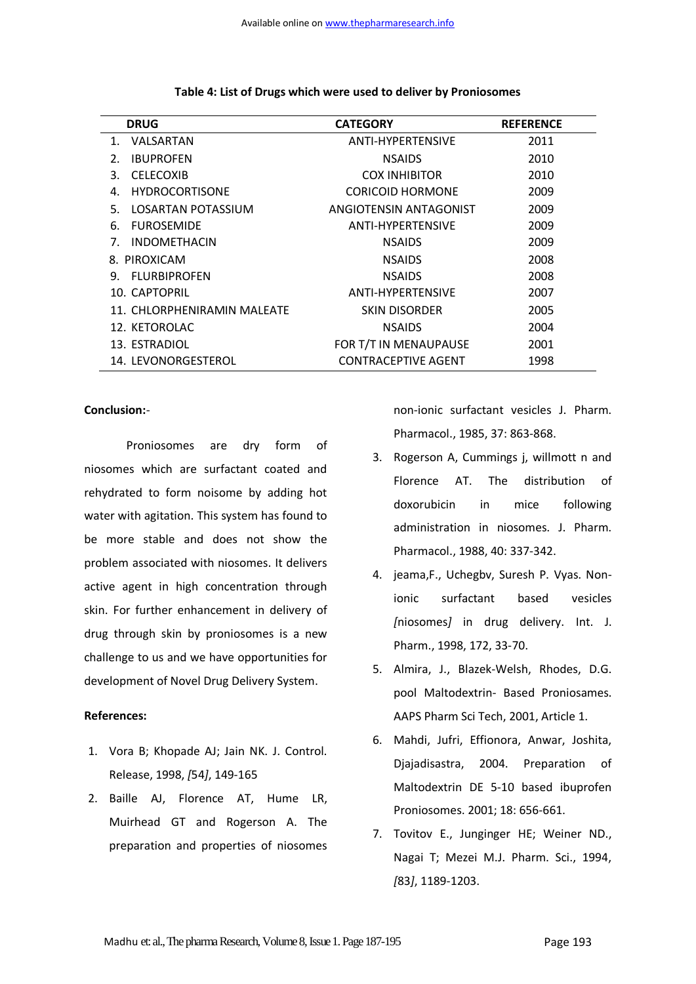| <b>DRUG</b>                 | <b>CATEGORY</b>            | <b>REFERENCE</b> |
|-----------------------------|----------------------------|------------------|
| VALSARTAN<br>1.             | ANTI-HYPERTENSIVE          | 2011             |
| <b>IBUPROFEN</b><br>2.      | <b>NSAIDS</b>              | 2010             |
| <b>CELECOXIB</b><br>3.      | <b>COX INHIBITOR</b>       | 2010             |
| <b>HYDROCORTISONE</b><br>4. | <b>CORICOID HORMONE</b>    | 2009             |
| LOSARTAN POTASSIUM<br>.5.   | ANGIOTENSIN ANTAGONIST     | 2009             |
| <b>FUROSEMIDE</b><br>6.     | ANTI-HYPERTENSIVE          | 2009             |
| <b>INDOMETHACIN</b><br>7.   | <b>NSAIDS</b>              | 2009             |
| 8. PIROXICAM                | <b>NSAIDS</b>              | 2008             |
| 9. FLURBIPROFEN             | <b>NSAIDS</b>              | 2008             |
| 10. CAPTOPRIL               | ANTI-HYPERTENSIVE          | 2007             |
| 11. CHLORPHENIRAMIN MALFATE | <b>SKIN DISORDER</b>       | 2005             |
| 12. KETOROLAC               | <b>NSAIDS</b>              | 2004             |
| 13. ESTRADIOL               | FOR T/T IN MENAUPAUSE      | 2001             |
| 14. LEVONORGESTEROL         | <b>CONTRACEPTIVE AGENT</b> | 1998             |

### **Table 4: List of Drugs which were used to deliver by Proniosomes**

# **Conclusion:**-

Proniosomes are dry form of niosomes which are surfactant coated and rehydrated to form noisome by adding hot water with agitation. This system has found to be more stable and does not show the problem associated with niosomes. It delivers active agent in high concentration through skin. For further enhancement in delivery of drug through skin by proniosomes is a new challenge to us and we have opportunities for development of Novel Drug Delivery System.

# **References:**

- 1. Vora B; Khopade AJ; Jain NK. J. Control. Release, 1998, *[*54*]*, 149-165
- 2. Baille AJ, Florence AT, Hume LR, Muirhead GT and Rogerson A. The preparation and properties of niosomes

non-ionic surfactant vesicles J. Pharm. Pharmacol., 1985, 37: 863-868.

- 3. Rogerson A, Cummings j, willmott n and Florence AT. The distribution of doxorubicin in mice following administration in niosomes. J. Pharm. Pharmacol., 1988, 40: 337-342.
- 4. jeama,F., Uchegbv, Suresh P. Vyas. Nonionic surfactant based vesicles *[*niosomes*]* in drug delivery. Int. J. Pharm., 1998, 172, 33-70.
- 5. Almira, J., Blazek-Welsh, Rhodes, D.G. pool Maltodextrin- Based Proniosames. AAPS Pharm Sci Tech, 2001, Article 1.
- 6. Mahdi, Jufri, Effionora, Anwar, Joshita, Djajadisastra, 2004. Preparation of Maltodextrin DE 5-10 based ibuprofen Proniosomes. 2001; 18: 656-661.
- 7. Tovitov E., Junginger HE; Weiner ND., Nagai T; Mezei M.J. Pharm. Sci., 1994, *[*83*]*, 1189-1203.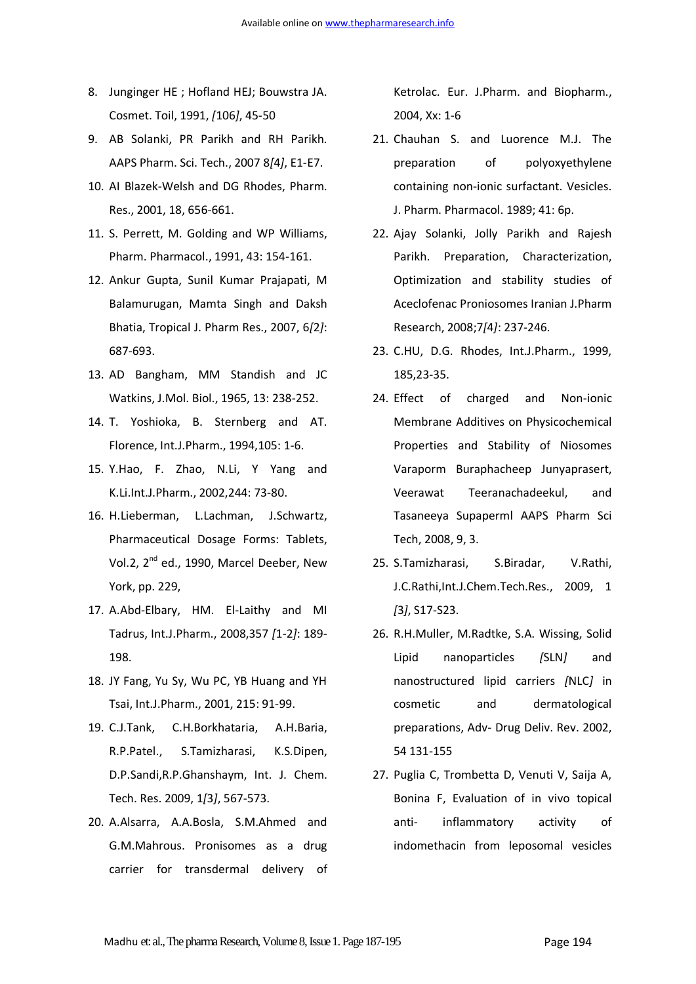- 8. Junginger HE ; Hofland HEJ; Bouwstra JA. Cosmet. Toil, 1991, *[*106*]*, 45-50
- 9. AB Solanki, PR Parikh and RH Parikh. AAPS Pharm. Sci. Tech., 2007 8*[*4*]*, E1-E7.
- 10. AI Blazek-Welsh and DG Rhodes, Pharm. Res., 2001, 18, 656-661.
- 11. S. Perrett, M. Golding and WP Williams, Pharm. Pharmacol., 1991, 43: 154-161.
- 12. Ankur Gupta, Sunil Kumar Prajapati, M Balamurugan, Mamta Singh and Daksh Bhatia, Tropical J. Pharm Res., 2007, 6*[*2*]*: 687-693.
- 13. AD Bangham, MM Standish and JC Watkins, J.Mol. Biol., 1965, 13: 238-252.
- 14. T. Yoshioka, B. Sternberg and AT. Florence, Int.J.Pharm., 1994,105: 1-6.
- 15. Y.Hao, F. Zhao, N.Li, Y Yang and K.Li.Int.J.Pharm., 2002,244: 73-80.
- 16. H.Lieberman, L.Lachman, J.Schwartz, Pharmaceutical Dosage Forms: Tablets, Vol.2, 2<sup>nd</sup> ed., 1990, Marcel Deeber, New York, pp. 229,
- 17. A.Abd-Elbary, HM. El-Laithy and MI Tadrus, Int.J.Pharm., 2008,357 *[*1-2*]*: 189- 198.
- 18. JY Fang, Yu Sy, Wu PC, YB Huang and YH Tsai, Int.J.Pharm., 2001, 215: 91-99.
- 19. C.J.Tank, C.H.Borkhataria, A.H.Baria, R.P.Patel., S.Tamizharasi, K.S.Dipen, D.P.Sandi,R.P.Ghanshaym, Int. J. Chem. Tech. Res. 2009, 1*[*3*]*, 567-573.
- 20. A.Alsarra, A.A.Bosla, S.M.Ahmed and G.M.Mahrous. Pronisomes as a drug carrier for transdermal delivery of

Ketrolac. Eur. J.Pharm. and Biopharm., 2004, Xx: 1-6

- 21. Chauhan S. and Luorence M.J. The preparation of polyoxyethylene containing non-ionic surfactant. Vesicles. J. Pharm. Pharmacol. 1989; 41: 6p.
- 22. Ajay Solanki, Jolly Parikh and Rajesh Parikh. Preparation, Characterization, Optimization and stability studies of Aceclofenac Proniosomes Iranian J.Pharm Research, 2008;7*[*4*]*: 237-246.
- 23. C.HU, D.G. Rhodes, Int.J.Pharm., 1999, 185,23-35.
- 24. Effect of charged and Non-ionic Membrane Additives on Physicochemical Properties and Stability of Niosomes Varaporm Buraphacheep Junyaprasert, Veerawat Teeranachadeekul, and Tasaneeya Supaperml AAPS Pharm Sci Tech, 2008, 9, 3.
- 25. S.Tamizharasi, S.Biradar, V.Rathi, J.C.Rathi,Int.J.Chem.Tech.Res., 2009, 1 *[*3*]*, S17-S23.
- 26. R.H.Muller, M.Radtke, S.A. Wissing, Solid Lipid nanoparticles *[*SLN*]* and nanostructured lipid carriers *[*NLC*]* in cosmetic and dermatological preparations, Adv- Drug Deliv. Rev. 2002, 54 131-155
- 27. Puglia C, Trombetta D, Venuti V, Saija A, Bonina F, Evaluation of in vivo topical anti- inflammatory activity of indomethacin from leposomal vesicles